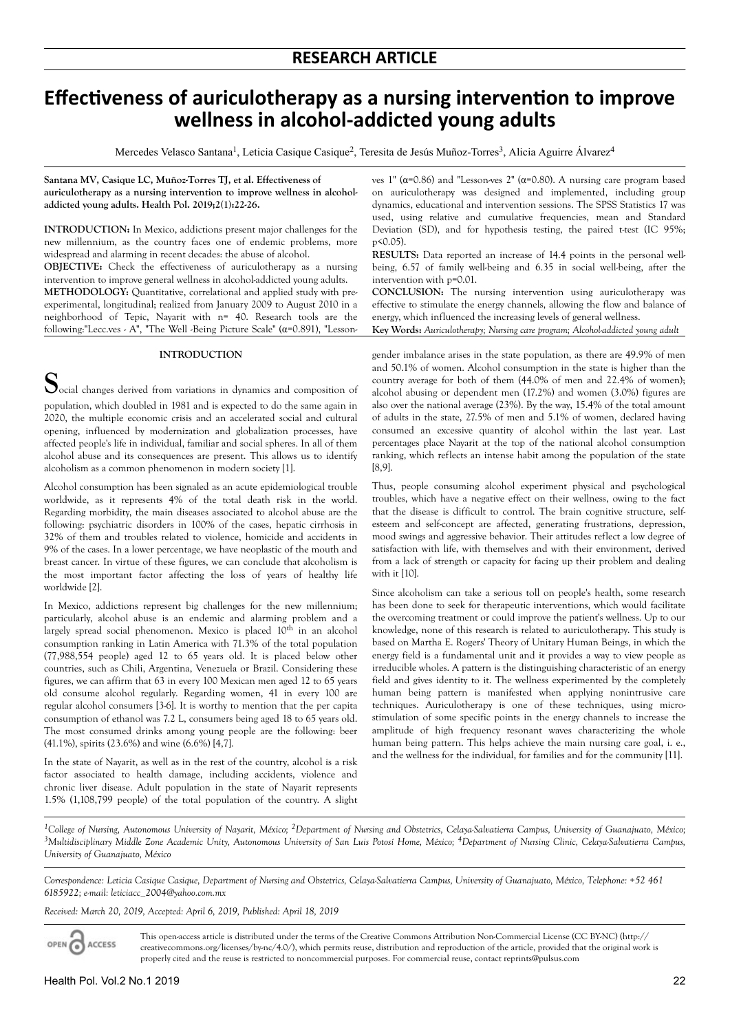# *Effectiveness of auriculotherapy as a nursing intervention to improve* **wellness in alcohol-addicted young adults**

Mercedes Velasco Santana<sup>1</sup>, Leticia Casique Casique<sup>2</sup>, Teresita de Jesús Muñoz-Torres<sup>3</sup>, Alicia Aguirre Álvarez<sup>4</sup>

**Santana MV, Casique LC, Muñoz-Torres TJ, et al. Effectiveness of auriculotherapy as a nursing intervention to improve wellness in alcoholaddicted young adults. Health Pol. 2019;2(1):22-26.**

**INTRODUCTION:** In Mexico, addictions present major challenges for the new millennium, as the country faces one of endemic problems, more widespread and alarming in recent decades: the abuse of alcohol.

**OBJECTIVE:** Check the effectiveness of auriculotherapy as a nursing intervention to improve general wellness in alcohol-addicted young adults.

**METHODOLOGY:** Quantitative, correlational and applied study with preexperimental, longitudinal; realized from January 2009 to August 2010 in a neighborhood of Tepic, Nayarit with n= 40. Research tools are the following:"Lecc.ves - A", "The Well -Being Picture Scale" (α=0.891), "Lesson-

## **INTRODUCTION**

**S**ocial changes derived from variations in dynamics and composition of population, which doubled in 1981 and is expected to do the same again in 2020, the multiple economic crisis and an accelerated social and cultural opening, influenced by modernization and globalization processes, have affected people's life in individual, familiar and social spheres. In all of them alcohol abuse and its consequences are present. This allows us to identify alcoholism as a common phenomenon in modern society [1].

Alcohol consumption has been signaled as an acute epidemiological trouble worldwide, as it represents 4% of the total death risk in the world. Regarding morbidity, the main diseases associated to alcohol abuse are the following: psychiatric disorders in 100% of the cases, hepatic cirrhosis in 32% of them and troubles related to violence, homicide and accidents in 9% of the cases. In a lower percentage, we have neoplastic of the mouth and breast cancer. In virtue of these figures, we can conclude that alcoholism is the most important factor affecting the loss of years of healthy life worldwide [2].

In Mexico, addictions represent big challenges for the new millennium; particularly, alcohol abuse is an endemic and alarming problem and a largely spread social phenomenon. Mexico is placed  $10^{\text{th}}$  in an alcohol consumption ranking in Latin America with 71.3% of the total population (77,988,554 people) aged 12 to 65 years old. It is placed below other countries, such as Chili, Argentina, Venezuela or Brazil. Considering these figures, we can affirm that 63 in every 100 Mexican men aged 12 to 65 years old consume alcohol regularly. Regarding women, 41 in every 100 are regular alcohol consumers [3-6]. It is worthy to mention that the per capita consumption of ethanol was 7.2 L, consumers being aged 18 to 65 years old. The most consumed drinks among young people are the following: beer (41.1%), spirits (23.6%) and wine (6.6%) [4,7].

In the state of Nayarit, as well as in the rest of the country, alcohol is a risk factor associated to health damage, including accidents, violence and chronic liver disease. Adult population in the state of Nayarit represents 1.5% (1,108,799 people) of the total population of the country. A slight

ves 1" ( $α=0.86$ ) and "Lesson-ves 2" ( $α=0.80$ ). A nursing care program based on auriculotherapy was designed and implemented, including group dynamics, educational and intervention sessions. The SPSS Statistics 17 was used, using relative and cumulative frequencies, mean and Standard Deviation (SD), and for hypothesis testing, the paired t-test (IC 95%; p<0.05).

**RESULTS:** Data reported an increase of 14.4 points in the personal wellbeing, 6.57 of family well-being and 6.35 in social well-being, after the intervention with p=0.01.

**CONCLUSION:** The nursing intervention using auriculotherapy was effective to stimulate the energy channels, allowing the flow and balance of energy, which influenced the increasing levels of general wellness.

**Key Words:** *Auriculotherapy; Nursing care program; Alcohol-addicted young adult*

gender imbalance arises in the state population, as there are 49.9% of men and 50.1% of women. Alcohol consumption in the state is higher than the country average for both of them (44.0% of men and 22.4% of women); alcohol abusing or dependent men (17.2%) and women (3.0%) figures are also over the national average (23%). By the way, 15.4% of the total amount of adults in the state, 27.5% of men and 5.1% of women, declared having consumed an excessive quantity of alcohol within the last year. Last percentages place Nayarit at the top of the national alcohol consumption ranking, which reflects an intense habit among the population of the state [8,9].

Thus, people consuming alcohol experiment physical and psychological troubles, which have a negative effect on their wellness, owing to the fact that the disease is difficult to control. The brain cognitive structure, selfesteem and self-concept are affected, generating frustrations, depression, mood swings and aggressive behavior. Their attitudes reflect a low degree of satisfaction with life, with themselves and with their environment, derived from a lack of strength or capacity for facing up their problem and dealing with it [10].

Since alcoholism can take a serious toll on people's health, some research has been done to seek for therapeutic interventions, which would facilitate the overcoming treatment or could improve the patient's wellness. Up to our knowledge, none of this research is related to auriculotherapy. This study is based on Martha E. Rogers' Theory of Unitary Human Beings, in which the energy field is a fundamental unit and it provides a way to view people as irreducible wholes. A pattern is the distinguishing characteristic of an energy field and gives identity to it. The wellness experimented by the completely human being pattern is manifested when applying nonintrusive care techniques. Auriculotherapy is one of these techniques, using microstimulation of some specific points in the energy channels to increase the amplitude of high frequency resonant waves characterizing the whole human being pattern. This helps achieve the main nursing care goal, i. e., and the wellness for the individual, for families and for the community [11].

*<sup>1</sup>College of Nursing, Autonomous University of Nayarit, México; 2Department of Nursing and Obstetrics, Celaya-Salvatierra Campus, University of Guanajuato, México;* <sup>3</sup>*Multidisciplinary Middle Zone Academic Unity, Autonomous University of San Luis Potosí Home, México; <sup>4</sup>Department of Nursing Clinic, Celaya-Salvatierra Campus, University of Guanajuato, México*

*Correspondence: Leticia Casique Casique, Department of Nursing and Obstetrics, Celaya-Salvatierra Campus, University of Guanajuato, México, Telephone: +52 461 6185922; e-mail: [leticiacc\\_2004@yahoo.com.mx](mailto:leticiacc_2004@yahoo.com.mx)*

*Received: March 20, 2019, Accepted: April 6, 2019, Published: April 18, 2019*

This open-access article is distributed under the terms of the Creative Commons Attribution Non-Commercial License (CC BY-NC) (http:// OPEN O ACCESS creativecommons.org/licenses/by-nc/4.0/), which permits reuse, distribution and reproduction of the article, provided that the original work is properly cited and the reuse is restricted to noncommercial purposes. For commercial reuse, contact reprints@pulsus.com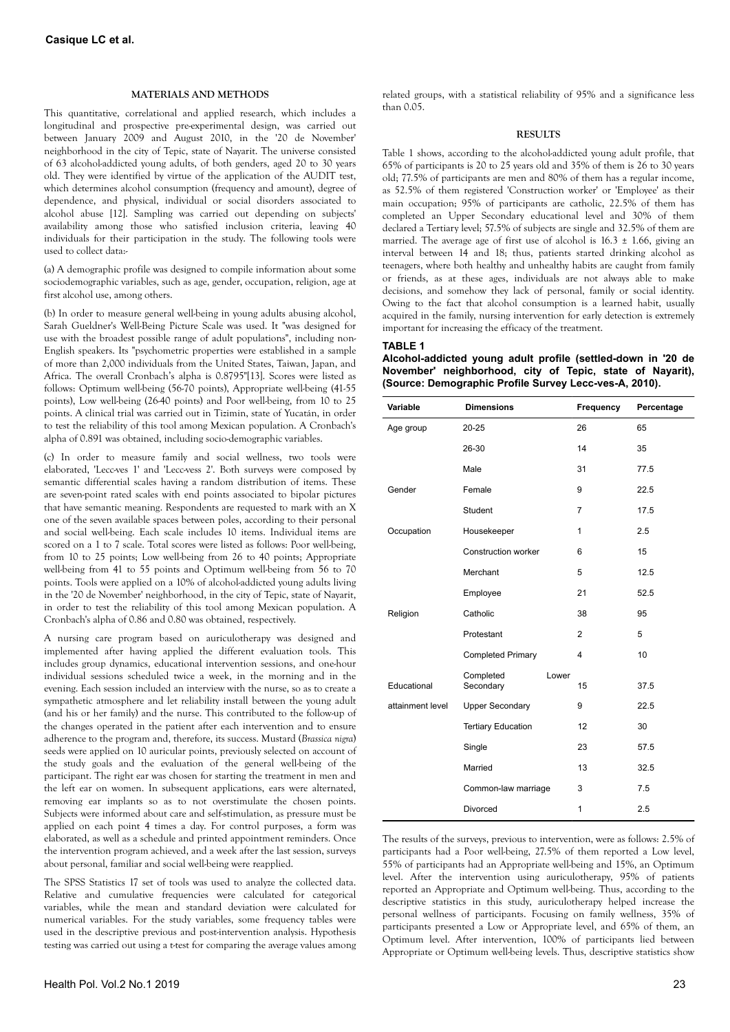## **MATERIALS AND METHODS**

This quantitative, correlational and applied research, which includes a longitudinal and prospective pre-experimental design, was carried out between January 2009 and August 2010, in the '20 de November' neighborhood in the city of Tepic, state of Nayarit. The universe consisted of 63 alcohol-addicted young adults, of both genders, aged 20 to 30 years old. They were identified by virtue of the application of the AUDIT test, which determines alcohol consumption (frequency and amount), degree of dependence, and physical, individual or social disorders associated to alcohol abuse [12]. Sampling was carried out depending on subjects' availability among those who satisfied inclusion criteria, leaving 40 individuals for their participation in the study. The following tools were used to collect data:-

(a) A demographic profile was designed to compile information about some sociodemographic variables, such as age, gender, occupation, religion, age at first alcohol use, among others.

(b) In order to measure general well-being in young adults abusing alcohol, Sarah Gueldner's Well-Being Picture Scale was used. It "was designed for use with the broadest possible range of adult populations", including non-English speakers. Its "psychometric properties were established in a sample of more than 2,000 individuals from the United States, Taiwan, Japan, and Africa. The overall Cronbach's alpha is 0.8795"[13]. Scores were listed as follows: Optimum well-being (56-70 points), Appropriate well-being (41-55 points), Low well-being (26-40 points) and Poor well-being, from 10 to 25 points. A clinical trial was carried out in Tizimin, state of Yucatán, in order to test the reliability of this tool among Mexican population. A Cronbach's alpha of 0.891 was obtained, including socio-demographic variables.

(c) In order to measure family and social wellness, two tools were elaborated, 'Lecc-ves 1' and 'Lecc-vess 2'. Both surveys were composed by semantic differential scales having a random distribution of items. These are seven-point rated scales with end points associated to bipolar pictures that have semantic meaning. Respondents are requested to mark with an X one of the seven available spaces between poles, according to their personal and social well-being. Each scale includes 10 items. Individual items are scored on a 1 to 7 scale. Total scores were listed as follows: Poor well-being, from 10 to 25 points; Low well-being from 26 to 40 points; Appropriate well-being from 41 to 55 points and Optimum well-being from 56 to 70 points. Tools were applied on a 10% of alcohol-addicted young adults living in the '20 de November' neighborhood, in the city of Tepic, state of Nayarit, in order to test the reliability of this tool among Mexican population. A Cronbach's alpha of 0.86 and 0.80 was obtained, respectively.

A nursing care program based on auriculotherapy was designed and implemented after having applied the different evaluation tools. This includes group dynamics, educational intervention sessions, and one-hour individual sessions scheduled twice a week, in the morning and in the evening. Each session included an interview with the nurse, so as to create a sympathetic atmosphere and let reliability install between the young adult (and his or her family) and the nurse. This contributed to the follow-up of the changes operated in the patient after each intervention and to ensure adherence to the program and, therefore, its success. Mustard (*Brassica nigra*) seeds were applied on 10 auricular points, previously selected on account of the study goals and the evaluation of the general well-being of the participant. The right ear was chosen for starting the treatment in men and the left ear on women. In subsequent applications, ears were alternated, removing ear implants so as to not overstimulate the chosen points. Subjects were informed about care and self-stimulation, as pressure must be applied on each point 4 times a day. For control purposes, a form was elaborated, as well as a schedule and printed appointment reminders. Once the intervention program achieved, and a week after the last session, surveys about personal, familiar and social well-being were reapplied.

The SPSS Statistics 17 set of tools was used to analyze the collected data. Relative and cumulative frequencies were calculated for categorical variables, while the mean and standard deviation were calculated for numerical variables. For the study variables, some frequency tables were used in the descriptive previous and post-intervention analysis. Hypothesis testing was carried out using a t-test for comparing the average values among related groups, with a statistical reliability of 95% and a significance less than 0.05.

#### **RESULTS**

Table 1 shows, according to the alcohol-addicted young adult profile, that 65% of participants is 20 to 25 years old and 35% of them is 26 to 30 years old; 77.5% of participants are men and 80% of them has a regular income, as 52.5% of them registered 'Construction worker' or 'Employee' as their main occupation; 95% of participants are catholic, 22.5% of them has completed an Upper Secondary educational level and 30% of them declared a Tertiary level; 57.5% of subjects are single and 32.5% of them are married. The average age of first use of alcohol is  $16.3 \pm 1.66$ , giving an interval between 14 and 18; thus, patients started drinking alcohol as teenagers, where both healthy and unhealthy habits are caught from family or friends, as at these ages, individuals are not always able to make decisions, and somehow they lack of personal, family or social identity. Owing to the fact that alcohol consumption is a learned habit, usually acquired in the family, nursing intervention for early detection is extremely important for increasing the efficacy of the treatment.

#### **TABLE 1**

**Alcohol-addicted young adult profile (settled-down in '20 de November' neighborhood, city of Tepic, state of Nayarit), (Source: Demographic Profile Survey Lecc-ves-A, 2010).**

| Variable         | <b>Dimensions</b>          |       | Frequency      | Percentage |  |  |
|------------------|----------------------------|-------|----------------|------------|--|--|
| Age group        | $20 - 25$                  |       | 26             | 65         |  |  |
|                  | 26-30                      |       | 14             | 35         |  |  |
|                  | Male                       |       | 31             | 77.5       |  |  |
| Gender           | Female                     |       | 9              | 22.5       |  |  |
|                  | <b>Student</b>             |       | $\overline{7}$ | 17.5       |  |  |
| Occupation       | Housekeeper                |       | 1              | 2.5        |  |  |
|                  | <b>Construction worker</b> |       | 6              | 15         |  |  |
|                  | Merchant                   |       | 5              | 12.5       |  |  |
|                  | Employee                   |       | 21             | 52.5       |  |  |
| Religion         | Catholic                   |       | 38             | 95         |  |  |
|                  | Protestant                 |       | $\overline{2}$ | 5          |  |  |
|                  | <b>Completed Primary</b>   |       | 4              | 10         |  |  |
| Educational      | Completed<br>Secondary     | Lower | 15             | 37.5       |  |  |
| attainment level | <b>Upper Secondary</b>     |       | 9              | 22.5       |  |  |
|                  | <b>Tertiary Education</b>  |       | 12             | 30         |  |  |
|                  | Single                     |       | 23             | 57.5       |  |  |
|                  | Married                    |       | 13             | 32.5       |  |  |
|                  | Common-law marriage        |       | 3              | 7.5        |  |  |
|                  | Divorced                   |       | 1              | 2.5        |  |  |

The results of the surveys, previous to intervention, were as follows: 2.5% of participants had a Poor well-being, 27.5% of them reported a Low level, 55% of participants had an Appropriate well-being and 15%, an Optimum level. After the intervention using auriculotherapy, 95% of patients reported an Appropriate and Optimum well-being. Thus, according to the descriptive statistics in this study, auriculotherapy helped increase the personal wellness of participants. Focusing on family wellness, 35% of participants presented a Low or Appropriate level, and 65% of them, an Optimum level. After intervention, 100% of participants lied between Appropriate or Optimum well-being levels. Thus, descriptive statistics show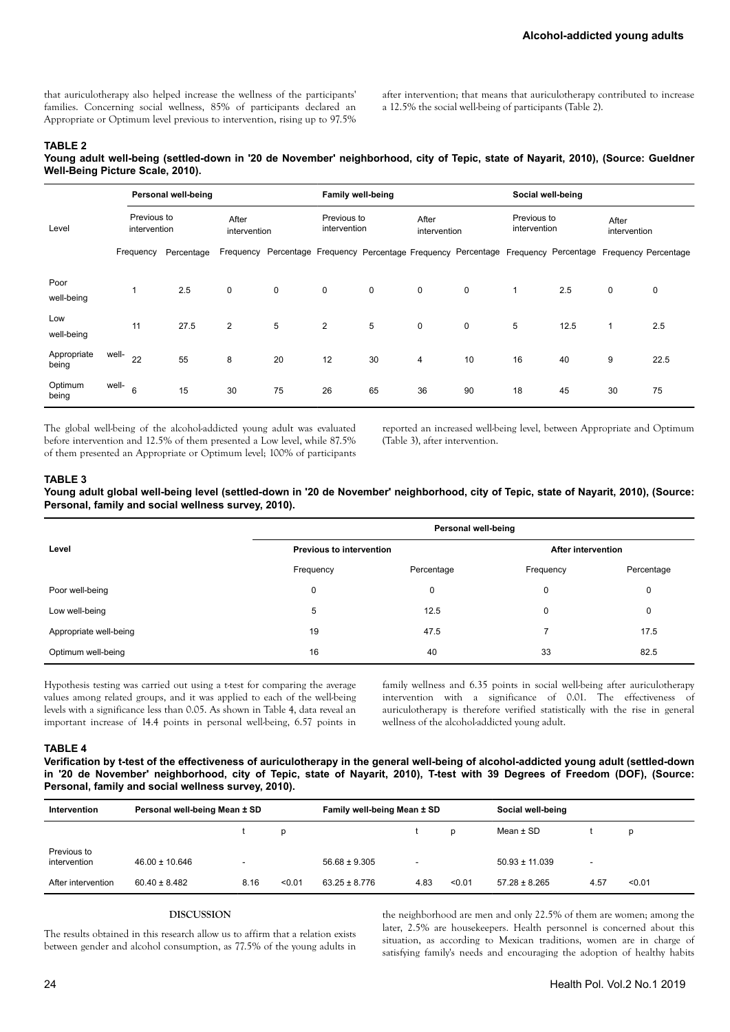that auriculotherapy also helped increase the wellness of the participants' families. Concerning social wellness, 85% of participants declared an Appropriate or Optimum level previous to intervention, rising up to 97.5% after intervention; that means that auriculotherapy contributed to increase a 12.5% the social well-being of participants (Table 2).

## **TABLE 2**

**Young adult well-being (settled-down in '20 de November' neighborhood, city of Tepic, state of Nayarit, 2010), (Source: Gueldner Well-Being Picture Scale, 2010).**

|                      |       | Personal well-being         |            |                       |    | <b>Family well-being</b>    |    |                       |                                                                                                | Social well-being           |      |                       |             |
|----------------------|-------|-----------------------------|------------|-----------------------|----|-----------------------------|----|-----------------------|------------------------------------------------------------------------------------------------|-----------------------------|------|-----------------------|-------------|
| Level                |       | Previous to<br>intervention |            | After<br>intervention |    | Previous to<br>intervention |    | After<br>intervention |                                                                                                | Previous to<br>intervention |      | After<br>intervention |             |
|                      |       | Frequency                   | Percentage | Frequency             |    |                             |    |                       | Percentage Frequency Percentage Frequency Percentage Frequency Percentage Frequency Percentage |                             |      |                       |             |
| Poor<br>well-being   |       | 1                           | 2.5        | 0                     | 0  | 0                           | 0  | $\mathbf 0$           | 0                                                                                              | $\mathbf{1}$                | 2.5  | 0                     | $\mathbf 0$ |
| Low<br>well-being    |       | 11                          | 27.5       | $\overline{2}$        | 5  | 2                           | 5  | $\mathsf 0$           | 0                                                                                              | 5                           | 12.5 | $\mathbf{1}$          | 2.5         |
| Appropriate<br>being | well- | 22                          | 55         | 8                     | 20 | 12                          | 30 | $\overline{4}$        | 10                                                                                             | 16                          | 40   | 9                     | 22.5        |
| Optimum<br>being     | well- | 6                           | 15         | 30                    | 75 | 26                          | 65 | 36                    | 90                                                                                             | 18                          | 45   | 30                    | 75          |

The global well-being of the alcohol-addicted young adult was evaluated before intervention and 12.5% of them presented a Low level, while 87.5% of them presented an Appropriate or Optimum level; 100% of participants reported an increased well-being level, between Appropriate and Optimum (Table 3), after intervention.

#### **TABLE 3**

**Young adult global well-being level (settled-down in '20 de November' neighborhood, city of Tepic, state of Nayarit, 2010), (Source: Personal, family and social wellness survey, 2010).**

|                        | Personal well-being             |            |                           |            |  |  |  |
|------------------------|---------------------------------|------------|---------------------------|------------|--|--|--|
| Level                  | <b>Previous to intervention</b> |            | <b>After intervention</b> |            |  |  |  |
|                        | Frequency                       | Percentage | Frequency                 | Percentage |  |  |  |
| Poor well-being        | 0                               | 0          | 0                         | 0          |  |  |  |
| Low well-being         | 5                               | 12.5       | 0                         | 0          |  |  |  |
| Appropriate well-being | 19                              | 47.5       |                           | 17.5       |  |  |  |
| Optimum well-being     | 16                              | 40         | 33                        | 82.5       |  |  |  |

Hypothesis testing was carried out using a t-test for comparing the average values among related groups, and it was applied to each of the well-being levels with a significance less than 0.05. As shown in Table 4, data reveal an important increase of 14.4 points in personal well-being, 6.57 points in family wellness and 6.35 points in social well-being after auriculotherapy intervention with a significance of 0.01. The effectiveness of auriculotherapy is therefore verified statistically with the rise in general wellness of the alcohol-addicted young adult.

#### **TABLE 4**

**Verification by t-test of the effectiveness of auriculotherapy in the general well-being of alcohol-addicted young adult (settled-down in '20 de November' neighborhood, city of Tepic, state of Nayarit, 2010), T-test with 39 Degrees of Freedom (DOF), (Source: Personal, family and social wellness survey, 2010).**

| Intervention                | Personal well-being Mean ± SD |      |        | Family well-being Mean ± SD |      |        | Social well-being  |      |        |
|-----------------------------|-------------------------------|------|--------|-----------------------------|------|--------|--------------------|------|--------|
|                             |                               |      |        |                             |      | D      | Mean $\pm$ SD      |      | D      |
| Previous to<br>intervention | $46.00 \pm 10.646$            |      |        | $56.68 \pm 9.305$           |      |        | $50.93 \pm 11.039$ | ٠    |        |
| After intervention          | $60.40 \pm 8.482$             | 8.16 | < 0.01 | $63.25 \pm 8.776$           | 4.83 | < 0.01 | $57.28 \pm 8.265$  | 4.57 | < 0.01 |

#### **DISCUSSION**

The results obtained in this research allow us to affirm that a relation exists between gender and alcohol consumption, as 77.5% of the young adults in the neighborhood are men and only 22.5% of them are women; among the later, 2.5% are housekeepers. Health personnel is concerned about this situation, as according to Mexican traditions, women are in charge of satisfying family's needs and encouraging the adoption of healthy habits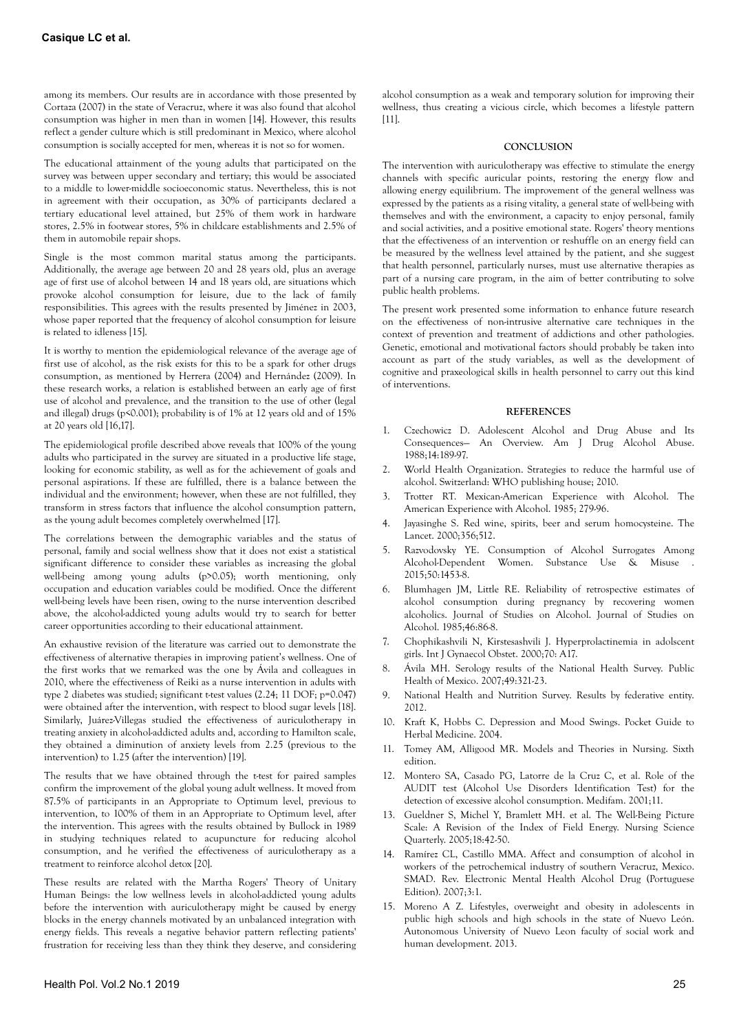among its members. Our results are in accordance with those presented by Cortaza (2007) in the state of Veracruz, where it was also found that alcohol consumption was higher in men than in women [14]. However, this results reflect a gender culture which is still predominant in Mexico, where alcohol consumption is socially accepted for men, whereas it is not so for women.

The educational attainment of the young adults that participated on the survey was between upper secondary and tertiary; this would be associated to a middle to lower-middle socioeconomic status. Nevertheless, this is not in agreement with their occupation, as 30% of participants declared a tertiary educational level attained, but 25% of them work in hardware stores, 2.5% in footwear stores, 5% in childcare establishments and 2.5% of them in automobile repair shops.

Single is the most common marital status among the participants. Additionally, the average age between 20 and 28 years old, plus an average age of first use of alcohol between 14 and 18 years old, are situations which provoke alcohol consumption for leisure, due to the lack of family responsibilities. This agrees with the results presented by Jiménez in 2003, whose paper reported that the frequency of alcohol consumption for leisure is related to idleness [15].

It is worthy to mention the epidemiological relevance of the average age of first use of alcohol, as the risk exists for this to be a spark for other drugs consumption, as mentioned by Herrera (2004) and Hernández (2009). In these research works, a relation is established between an early age of first use of alcohol and prevalence, and the transition to the use of other (legal and illegal) drugs (p<0.001); probability is of 1% at 12 years old and of 15% at 20 years old [16,17].

The epidemiological profile described above reveals that 100% of the young adults who participated in the survey are situated in a productive life stage, looking for economic stability, as well as for the achievement of goals and personal aspirations. If these are fulfilled, there is a balance between the individual and the environment; however, when these are not fulfilled, they transform in stress factors that influence the alcohol consumption pattern, as the young adult becomes completely overwhelmed [17].

The correlations between the demographic variables and the status of personal, family and social wellness show that it does not exist a statistical significant difference to consider these variables as increasing the global well-being among young adults (p>0.05); worth mentioning, only occupation and education variables could be modified. Once the different well-being levels have been risen, owing to the nurse intervention described above, the alcohol-addicted young adults would try to search for better career opportunities according to their educational attainment.

An exhaustive revision of the literature was carried out to demonstrate the effectiveness of alternative therapies in improving patient's wellness. One of the first works that we remarked was the one by Ávila and colleagues in 2010, where the effectiveness of Reiki as a nurse intervention in adults with type 2 diabetes was studied; significant t-test values (2.24; 11 DOF; p=0.047) were obtained after the intervention, with respect to blood sugar levels [18]. Similarly, Juárez-Villegas studied the effectiveness of auriculotherapy in treating anxiety in alcohol-addicted adults and, according to Hamilton scale, they obtained a diminution of anxiety levels from 2.25 (previous to the intervention) to 1.25 (after the intervention) [19].

The results that we have obtained through the t-test for paired samples confirm the improvement of the global young adult wellness. It moved from 87.5% of participants in an Appropriate to Optimum level, previous to intervention, to 100% of them in an Appropriate to Optimum level, after the intervention. This agrees with the results obtained by Bullock in 1989 in studying techniques related to acupuncture for reducing alcohol consumption, and he verified the effectiveness of auriculotherapy as a treatment to reinforce alcohol detox [20].

These results are related with the Martha Rogers' Theory of Unitary Human Beings: the low wellness levels in alcohol-addicted young adults before the intervention with auriculotherapy might be caused by energy blocks in the energy channels motivated by an unbalanced integration with energy fields. This reveals a negative behavior pattern reflecting patients' frustration for receiving less than they think they deserve, and considering alcohol consumption as a weak and temporary solution for improving their wellness, thus creating a vicious circle, which becomes a lifestyle pattern [11].

#### **CONCLUSION**

The intervention with auriculotherapy was effective to stimulate the energy channels with specific auricular points, restoring the energy flow and allowing energy equilibrium. The improvement of the general wellness was expressed by the patients as a rising vitality, a general state of well-being with themselves and with the environment, a capacity to enjoy personal, family and social activities, and a positive emotional state. Rogers' theory mentions that the effectiveness of an intervention or reshuffle on an energy field can be measured by the wellness level attained by the patient, and she suggest that health personnel, particularly nurses, must use alternative therapies as part of a nursing care program, in the aim of better contributing to solve public health problems.

The present work presented some information to enhance future research on the effectiveness of non-intrusive alternative care techniques in the context of prevention and treatment of addictions and other pathologies. Genetic, emotional and motivational factors should probably be taken into account as part of the study variables, as well as the development of cognitive and praxeological skills in health personnel to carry out this kind of interventions.

#### **REFERENCES**

- 1. Czechowicz D. Adolescent Alcohol and Drug Abuse and Its Consequences— An Overview. Am J Drug Alcohol Abuse. 1988;14:189-97.
- 2. World Health Organization. Strategies to reduce the harmful use of alcohol. Switzerland: WHO publishing house; 2010.
- 3. Trotter RT. Mexican-American Experience with Alcohol. The American Experience with Alcohol. 1985; 279-96.
- 4. Jayasinghe S. Red wine, spirits, beer and serum homocysteine. The Lancet. 2000;356;512.
- 5. Razvodovsky YE. Consumption of Alcohol Surrogates Among Alcohol-Dependent Women. Substance Use & Misuse . 2015;50:1453-8.
- 6. Blumhagen JM, Little RE. Reliability of retrospective estimates of alcohol consumption during pregnancy by recovering women alcoholics. Journal of Studies on Alcohol. Journal of Studies on Alcohol. 1985;46:86-8.
- 7. Chophikashvili N, Kirstesashvili J. Hyperprolactinemia in adolscent girls. Int J Gynaecol Obstet. 2000;70: A17.
- 8. Ávila MH. Serology results of the National Health Survey. Public Health of Mexico. 2007;49:321-23.
- 9. National Health and Nutrition Survey. Results by federative entity. 2012.
- 10. Kraft K, Hobbs C. Depression and Mood Swings. Pocket Guide to Herbal Medicine. 2004.
- 11. Tomey AM, Alligood MR. Models and Theories in Nursing. Sixth edition.
- 12. Montero SA, Casado PG, Latorre de la Cruz C, et al. Role of the AUDIT test (Alcohol Use Disorders Identification Test) for the detection of excessive alcohol consumption. Medifam. 2001;11.
- 13. Gueldner S, Michel Y, Bramlett MH. et al. The Well-Being Picture Scale: A Revision of the Index of Field Energy. Nursing Science Quarterly. 2005;18:42-50.
- 14. Ramírez CL, Castillo MMA. Affect and consumption of alcohol in workers of the petrochemical industry of southern Veracruz, Mexico. SMAD. Rev. Electronic Mental Health Alcohol Drug (Portuguese Edition). 2007;3:1.
- 15. Moreno A Z. Lifestyles, overweight and obesity in adolescents in public high schools and high schools in the state of Nuevo León. Autonomous University of Nuevo Leon faculty of social work and human development. 2013.